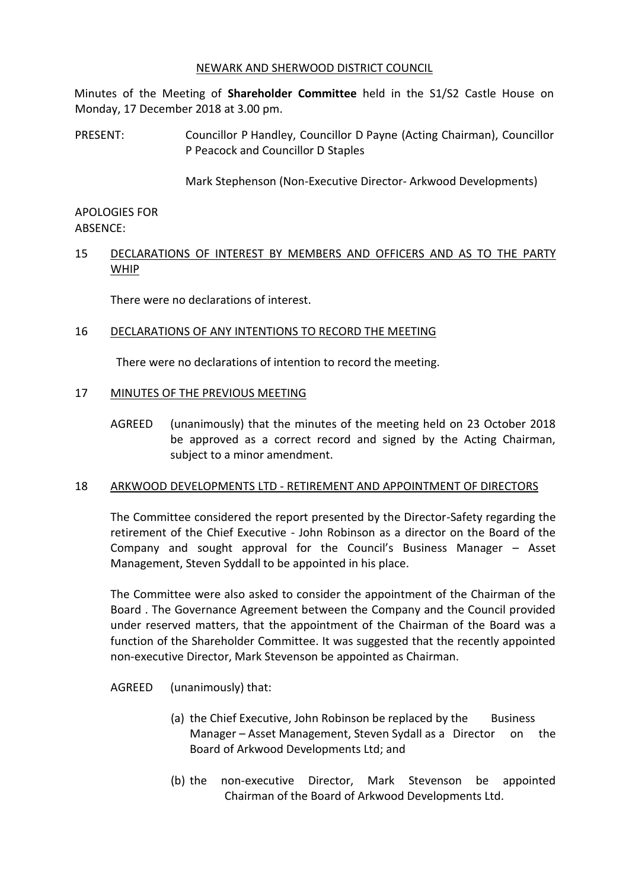### NEWARK AND SHERWOOD DISTRICT COUNCIL

Minutes of the Meeting of **Shareholder Committee** held in the S1/S2 Castle House on Monday, 17 December 2018 at 3.00 pm.

PRESENT: Councillor P Handley, Councillor D Payne (Acting Chairman), Councillor P Peacock and Councillor D Staples

Mark Stephenson (Non-Executive Director- Arkwood Developments)

### APOLOGIES FOR ABSENCE:

# 15 DECLARATIONS OF INTEREST BY MEMBERS AND OFFICERS AND AS TO THE PARTY WHIP

There were no declarations of interest.

### 16 DECLARATIONS OF ANY INTENTIONS TO RECORD THE MEETING

There were no declarations of intention to record the meeting.

### 17 MINUTES OF THE PREVIOUS MEETING

AGREED (unanimously) that the minutes of the meeting held on 23 October 2018 be approved as a correct record and signed by the Acting Chairman, subject to a minor amendment.

### 18 ARKWOOD DEVELOPMENTS LTD - RETIREMENT AND APPOINTMENT OF DIRECTORS

The Committee considered the report presented by the Director-Safety regarding the retirement of the Chief Executive - John Robinson as a director on the Board of the Company and sought approval for the Council's Business Manager – Asset Management, Steven Syddall to be appointed in his place.

The Committee were also asked to consider the appointment of the Chairman of the Board . The Governance Agreement between the Company and the Council provided under reserved matters, that the appointment of the Chairman of the Board was a function of the Shareholder Committee. It was suggested that the recently appointed non-executive Director, Mark Stevenson be appointed as Chairman.

AGREED (unanimously) that:

- (a) the Chief Executive, John Robinson be replaced by the Business Manager – Asset Management, Steven Sydall as a Director on the Board of Arkwood Developments Ltd; and
- (b) the non-executive Director, Mark Stevenson be appointed Chairman of the Board of Arkwood Developments Ltd.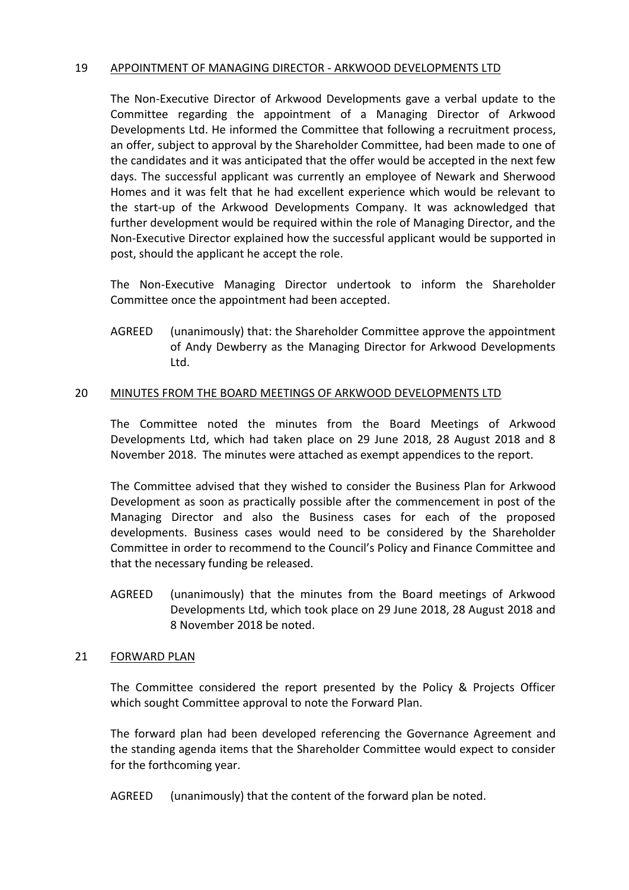### 19 APPOINTMENT OF MANAGING DIRECTOR - ARKWOOD DEVELOPMENTS LTD

The Non-Executive Director of Arkwood Developments gave a verbal update to the Committee regarding the appointment of a Managing Director of Arkwood Developments Ltd. He informed the Committee that following a recruitment process, an offer, subject to approval by the Shareholder Committee, had been made to one of the candidates and it was anticipated that the offer would be accepted in the next few days. The successful applicant was currently an employee of Newark and Sherwood Homes and it was felt that he had excellent experience which would be relevant to the start-up of the Arkwood Developments Company. It was acknowledged that further development would be required within the role of Managing Director, and the Non-Executive Director explained how the successful applicant would be supported in post, should the applicant he accept the role.

The Non-Executive Managing Director undertook to inform the Shareholder Committee once the appointment had been accepted.

AGREED (unanimously) that: the Shareholder Committee approve the appointment of Andy Dewberry as the Managing Director for Arkwood Developments Ltd.

## 20 MINUTES FROM THE BOARD MEETINGS OF ARKWOOD DEVELOPMENTS LTD

The Committee noted the minutes from the Board Meetings of Arkwood Developments Ltd, which had taken place on 29 June 2018, 28 August 2018 and 8 November 2018. The minutes were attached as exempt appendices to the report.

The Committee advised that they wished to consider the Business Plan for Arkwood Development as soon as practically possible after the commencement in post of the Managing Director and also the Business cases for each of the proposed developments. Business cases would need to be considered by the Shareholder Committee in order to recommend to the Council's Policy and Finance Committee and that the necessary funding be released.

AGREED (unanimously) that the minutes from the Board meetings of Arkwood Developments Ltd, which took place on 29 June 2018, 28 August 2018 and 8 November 2018 be noted.

### 21 FORWARD PLAN

The Committee considered the report presented by the Policy & Projects Officer which sought Committee approval to note the Forward Plan.

The forward plan had been developed referencing the Governance Agreement and the standing agenda items that the Shareholder Committee would expect to consider for the forthcoming year.

AGREED (unanimously) that the content of the forward plan be noted.